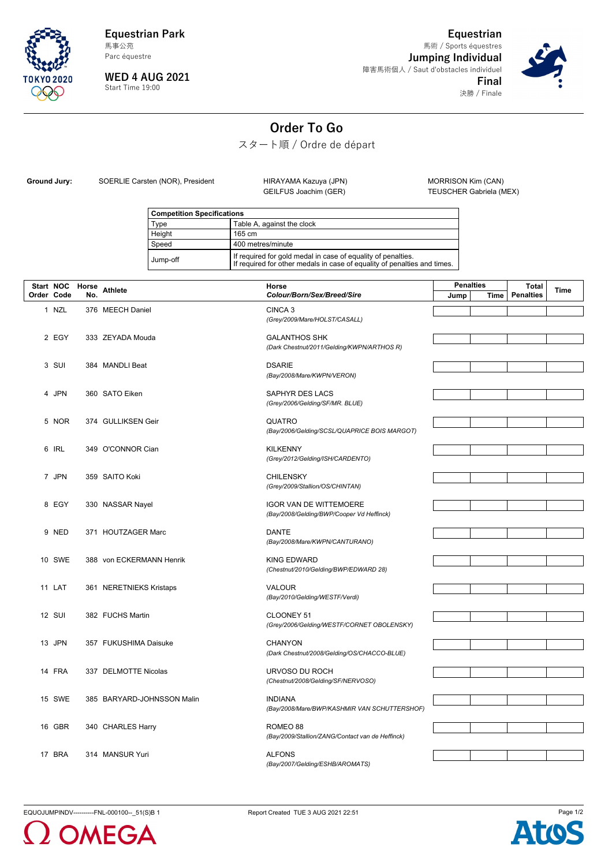

**Equestrian Park** Parc équestre 馬事公苑

**WED 4 AUG 2021** Start Time 19:00

**Equestrian Jumping Individual** 障害馬術個人 / Saut d'obstacles individuel **Final** 決勝 / Finale 馬術 / Sports équestres



**Order To Go**

スタート順 / Ordre de départ

Ground Jury: SOERLIE Carsten (NOR), President HIRAYAMA Kazuya (JPN) MORRISON Kim (CAN)<br>GEILFUS Joachim (GER) TEUSCHER Gabriela (M

TEUSCHER Gabriela (MEX)

| <b>Competition Specifications</b> |                                                                                                                                          |  |
|-----------------------------------|------------------------------------------------------------------------------------------------------------------------------------------|--|
| Type                              | Table A, against the clock                                                                                                               |  |
| Height                            | 165 cm                                                                                                                                   |  |
| Speed                             | 400 metres/minute                                                                                                                        |  |
| Jump-off                          | If required for gold medal in case of equality of penalties.<br>If required for other medals in case of equality of penalties and times. |  |

| Start NOC Horse |               |     | <b>Athlete</b>             | Horse                                                          | <b>Penalties</b> |      | <b>Total</b>     | <b>Time</b> |
|-----------------|---------------|-----|----------------------------|----------------------------------------------------------------|------------------|------|------------------|-------------|
| Order Code      |               | No. |                            | Colour/Born/Sex/Breed/Sire                                     | Jump             | Time | <b>Penalties</b> |             |
|                 | 1 NZL         |     | 376 MEECH Daniel           | CINCA <sub>3</sub>                                             |                  |      |                  |             |
|                 |               |     |                            | (Grey/2009/Mare/HOLST/CASALL)                                  |                  |      |                  |             |
|                 | 2 EGY         |     | 333 ZEYADA Mouda           | <b>GALANTHOS SHK</b>                                           |                  |      |                  |             |
|                 |               |     |                            | (Dark Chestnut/2011/Gelding/KWPN/ARTHOS R)                     |                  |      |                  |             |
|                 |               |     |                            |                                                                |                  |      |                  |             |
|                 | 3 SUI         |     | 384 MANDLI Beat            | <b>DSARIE</b><br>(Bay/2008/Mare/KWPN/VERON)                    |                  |      |                  |             |
|                 |               |     |                            |                                                                |                  |      |                  |             |
|                 | 4 JPN         |     | 360 SATO Eiken             | SAPHYR DES LACS                                                |                  |      |                  |             |
|                 |               |     |                            | (Grey/2006/Gelding/SF/MR. BLUE)                                |                  |      |                  |             |
|                 | 5 NOR         |     | 374 GULLIKSEN Geir         | QUATRO                                                         |                  |      |                  |             |
|                 |               |     |                            | (Bay/2006/Gelding/SCSL/QUAPRICE BOIS MARGOT)                   |                  |      |                  |             |
|                 | 6 IRL         |     | 349 O'CONNOR Cian          | <b>KILKENNY</b>                                                |                  |      |                  |             |
|                 |               |     |                            | (Grey/2012/Gelding/ISH/CARDENTO)                               |                  |      |                  |             |
|                 | 7 JPN         |     | 359 SAITO Koki             | <b>CHILENSKY</b>                                               |                  |      |                  |             |
|                 |               |     |                            | (Grey/2009/Stallion/OS/CHINTAN)                                |                  |      |                  |             |
|                 | 8 EGY         |     | 330 NASSAR Nayel           | <b>IGOR VAN DE WITTEMOERE</b>                                  |                  |      |                  |             |
|                 |               |     |                            | (Bay/2008/Gelding/BWP/Cooper Vd Heffinck)                      |                  |      |                  |             |
|                 |               |     |                            |                                                                |                  |      |                  |             |
|                 | 9 NED         |     | 371 HOUTZAGER Marc         | <b>DANTE</b><br>(Bay/2008/Mare/KWPN/CANTURANO)                 |                  |      |                  |             |
|                 |               |     |                            |                                                                |                  |      |                  |             |
|                 | 10 SWE        |     | 388 von ECKERMANN Henrik   | <b>KING EDWARD</b>                                             |                  |      |                  |             |
|                 |               |     |                            | (Chestnut/2010/Gelding/BWP/EDWARD 28)                          |                  |      |                  |             |
|                 | 11 LAT        |     | 361 NERETNIEKS Kristaps    | <b>VALOUR</b>                                                  |                  |      |                  |             |
|                 |               |     |                            | (Bay/2010/Gelding/WESTF/Verdi)                                 |                  |      |                  |             |
|                 | <b>12 SUI</b> |     | 382 FUCHS Martin           | CLOONEY 51                                                     |                  |      |                  |             |
|                 |               |     |                            | (Grey/2006/Gelding/WESTF/CORNET OBOLENSKY)                     |                  |      |                  |             |
|                 | 13 JPN        |     | 357 FUKUSHIMA Daisuke      | <b>CHANYON</b>                                                 |                  |      |                  |             |
|                 |               |     |                            | (Dark Chestnut/2008/Gelding/OS/CHACCO-BLUE)                    |                  |      |                  |             |
|                 | 14 FRA        |     |                            |                                                                |                  |      |                  |             |
|                 |               |     | 337 DELMOTTE Nicolas       | URVOSO DU ROCH<br>(Chestnut/2008/Gelding/SF/NERVOSO)           |                  |      |                  |             |
|                 |               |     |                            |                                                                |                  |      |                  |             |
|                 | 15 SWE        |     | 385 BARYARD-JOHNSSON Malin | <b>INDIANA</b><br>(Bay/2008/Mare/BWP/KASHMIR VAN SCHUTTERSHOF) |                  |      |                  |             |
|                 |               |     |                            |                                                                |                  |      |                  |             |
|                 | 16 GBR        |     | 340 CHARLES Harry          | ROMEO 88                                                       |                  |      |                  |             |
|                 |               |     |                            | (Bay/2009/Stallion/ZANG/Contact van de Heffinck)               |                  |      |                  |             |
|                 | 17 BRA        |     | 314 MANSUR Yuri            | <b>ALFONS</b>                                                  |                  |      |                  |             |
|                 |               |     |                            | (Bay/2007/Gelding/ESHB/AROMATS)                                |                  |      |                  |             |

EQUOJUMPINDV----------FNL-000100--\_51(S)B 1 Report Created TUE 3 AUG 2021 22:51 Report Created TUE 3 AUG 2021 22:51